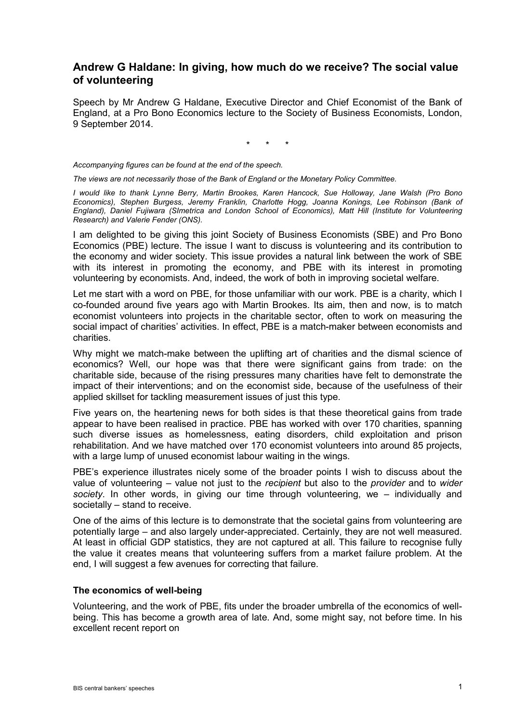# **Andrew G Haldane: In giving, how much do we receive? The social value of volunteering**

Speech by Mr Andrew G Haldane, Executive Director and Chief Economist of the Bank of England, at a Pro Bono Economics lecture to the Society of Business Economists, London, 9 September 2014.

\* \* \*

*Accompanying figures can be found at the end of the speech.*

*The views are not necessarily those of the Bank of England or the Monetary Policy Committee.* 

*I would like to thank Lynne Berry, Martin Brookes, Karen Hancock, Sue Holloway, Jane Walsh (Pro Bono Economics), Stephen Burgess, Jeremy Franklin, Charlotte Hogg, Joanna Konings, Lee Robinson (Bank of England), Daniel Fujiwara (SImetrica and London School of Economics), Matt Hill (Institute for Volunteering Research) and Valerie Fender (ONS).*

I am delighted to be giving this joint Society of Business Economists (SBE) and Pro Bono Economics (PBE) lecture. The issue I want to discuss is volunteering and its contribution to the economy and wider society. This issue provides a natural link between the work of SBE with its interest in promoting the economy, and PBE with its interest in promoting volunteering by economists. And, indeed, the work of both in improving societal welfare.

Let me start with a word on PBE, for those unfamiliar with our work. PBE is a charity, which I co-founded around five years ago with Martin Brookes. Its aim, then and now, is to match economist volunteers into projects in the charitable sector, often to work on measuring the social impact of charities' activities. In effect, PBE is a match-maker between economists and charities.

Why might we match-make between the uplifting art of charities and the dismal science of economics? Well, our hope was that there were significant gains from trade: on the charitable side, because of the rising pressures many charities have felt to demonstrate the impact of their interventions; and on the economist side, because of the usefulness of their applied skillset for tackling measurement issues of just this type.

Five years on, the heartening news for both sides is that these theoretical gains from trade appear to have been realised in practice. PBE has worked with over 170 charities, spanning such diverse issues as homelessness, eating disorders, child exploitation and prison rehabilitation. And we have matched over 170 economist volunteers into around 85 projects, with a large lump of unused economist labour waiting in the wings.

PBE's experience illustrates nicely some of the broader points I wish to discuss about the value of volunteering – value not just to the *recipient* but also to the *provider* and to *wider society*. In other words, in giving our time through volunteering, we – individually and societally – stand to receive.

One of the aims of this lecture is to demonstrate that the societal gains from volunteering are potentially large – and also largely under-appreciated. Certainly, they are not well measured. At least in official GDP statistics, they are not captured at all. This failure to recognise fully the value it creates means that volunteering suffers from a market failure problem. At the end, I will suggest a few avenues for correcting that failure.

#### **The economics of well-being**

Volunteering, and the work of PBE, fits under the broader umbrella of the economics of wellbeing. This has become a growth area of late. And, some might say, not before time. In his excellent recent report on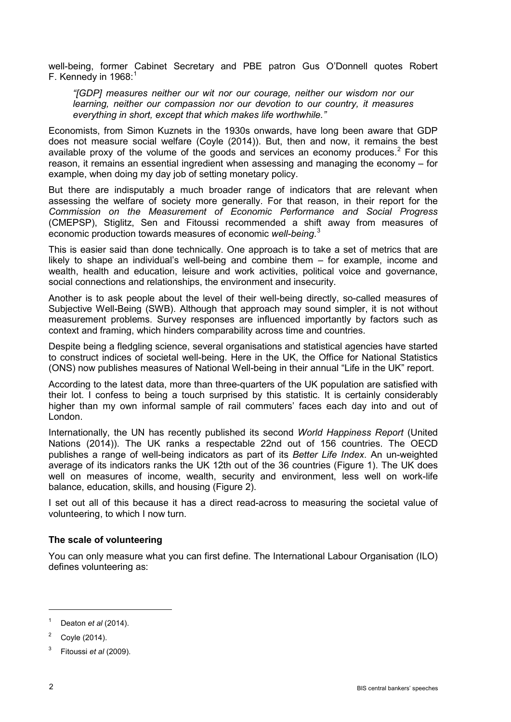well-being, former Cabinet Secretary and PBE patron Gus O'Donnell quotes Robert F. Kennedy in  $1968$  $1968$ :

*"[GDP] measures neither our wit nor our courage, neither our wisdom nor our learning, neither our compassion nor our devotion to our country, it measures everything in short, except that which makes life worthwhile."*

Economists, from Simon Kuznets in the 1930s onwards, have long been aware that GDP does not measure social welfare (Coyle (2014)). But, then and now, it remains the best available proxy of the volume of the goods and services an economy produces.<sup>[2](#page-1-1)</sup> For this reason, it remains an essential ingredient when assessing and managing the economy – for example, when doing my day job of setting monetary policy.

But there are indisputably a much broader range of indicators that are relevant when assessing the welfare of society more generally. For that reason, in their report for the *Commission on the Measurement of Economic Performance and Social Progress* (CMEPSP), Stiglitz, Sen and Fitoussi recommended a shift away from measures of economic production towards measures of economic *well-being*. [3](#page-1-2)

This is easier said than done technically. One approach is to take a set of metrics that are likely to shape an individual's well-being and combine them – for example, income and wealth, health and education, leisure and work activities, political voice and governance, social connections and relationships, the environment and insecurity.

Another is to ask people about the level of their well-being directly, so-called measures of Subjective Well-Being (SWB). Although that approach may sound simpler, it is not without measurement problems. Survey responses are influenced importantly by factors such as context and framing, which hinders comparability across time and countries.

Despite being a fledgling science, several organisations and statistical agencies have started to construct indices of societal well-being. Here in the UK, the Office for National Statistics (ONS) now publishes measures of National Well-being in their annual "Life in the UK" report.

According to the latest data, more than three-quarters of the UK population are satisfied with their lot. I confess to being a touch surprised by this statistic. It is certainly considerably higher than my own informal sample of rail commuters' faces each day into and out of London.

Internationally, the UN has recently published its second *World Happiness Report* (United Nations (2014)). The UK ranks a respectable 22nd out of 156 countries. The OECD publishes a range of well-being indicators as part of its *Better Life Index*. An un-weighted average of its indicators ranks the UK 12th out of the 36 countries (Figure 1). The UK does well on measures of income, wealth, security and environment, less well on work-life balance, education, skills, and housing (Figure 2).

I set out all of this because it has a direct read-across to measuring the societal value of volunteering, to which I now turn.

### **The scale of volunteering**

You can only measure what you can first define. The International Labour Organisation (ILO) defines volunteering as:

<span id="page-1-0"></span> $1$  Deaton *et al* (2014).

<span id="page-1-1"></span> $2^{\circ}$  Coyle (2014).

<span id="page-1-2"></span><sup>3</sup> Fitoussi *et al* (2009).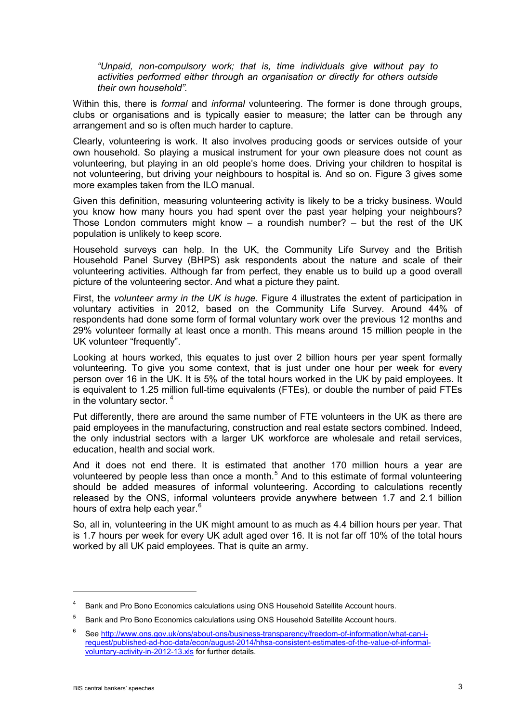*"Unpaid, non-compulsory work; that is, time individuals give without pay to activities performed either through an organisation or directly for others outside their own household".*

Within this, there is *formal* and *informal* volunteering. The former is done through groups, clubs or organisations and is typically easier to measure; the latter can be through any arrangement and so is often much harder to capture.

Clearly, volunteering is work. It also involves producing goods or services outside of your own household. So playing a musical instrument for your own pleasure does not count as volunteering, but playing in an old people's home does. Driving your children to hospital is not volunteering, but driving your neighbours to hospital is. And so on. Figure 3 gives some more examples taken from the ILO manual.

Given this definition, measuring volunteering activity is likely to be a tricky business. Would you know how many hours you had spent over the past year helping your neighbours? Those London commuters might know – a roundish number? – but the rest of the UK population is unlikely to keep score.

Household surveys can help. In the UK, the Community Life Survey and the British Household Panel Survey (BHPS) ask respondents about the nature and scale of their volunteering activities. Although far from perfect, they enable us to build up a good overall picture of the volunteering sector. And what a picture they paint.

First, the *volunteer army in the UK is huge*. Figure 4 illustrates the extent of participation in voluntary activities in 2012, based on the Community Life Survey. Around 44% of respondents had done some form of formal voluntary work over the previous 12 months and 29% volunteer formally at least once a month. This means around 15 million people in the UK volunteer "frequently".

Looking at hours worked, this equates to just over 2 billion hours per year spent formally volunteering. To give you some context, that is just under one hour per week for every person over 16 in the UK. It is 5% of the total hours worked in the UK by paid employees. It is equivalent to 1.25 million full-time equivalents (FTEs), or double the number of paid FTEs in the voluntary sector.<sup>[4](#page-2-0)</sup>

Put differently, there are around the same number of FTE volunteers in the UK as there are paid employees in the manufacturing, construction and real estate sectors combined. Indeed, the only industrial sectors with a larger UK workforce are wholesale and retail services, education, health and social work.

And it does not end there. It is estimated that another 170 million hours a year are volunteered by people less than once a month.<sup>[5](#page-2-1)</sup> And to this estimate of formal volunteering should be added measures of informal volunteering. According to calculations recently released by the ONS, informal volunteers provide anywhere between 1.7 and 2.1 billion hours of extra help each year.<sup>[6](#page-2-2)</sup>

So, all in, volunteering in the UK might amount to as much as 4.4 billion hours per year. That is 1.7 hours per week for every UK adult aged over 16. It is not far off 10% of the total hours worked by all UK paid employees. That is quite an army.

<span id="page-2-0"></span><sup>&</sup>lt;sup>4</sup> Bank and Pro Bono Economics calculations using ONS Household Satellite Account hours.

<span id="page-2-1"></span><sup>&</sup>lt;sup>5</sup> Bank and Pro Bono Economics calculations using ONS Household Satellite Account hours.

<span id="page-2-2"></span><sup>&</sup>lt;sup>6</sup> See [http://www.ons.gov.uk/ons/about-ons/business-transparency/freedom-of-information/what-can-i](http://www.ons.gov.uk/ons/about-ons/business-transparency/freedom-of-information/what-can-i-request/published-ad-hoc-data/econ/august-2014/hhsa-consistent-estimates-of-the-value-of-informal-voluntary-activity-in-2012-13.xls)[request/published-ad-hoc-data/econ/august-2014/hhsa-consistent-estimates-of-the-value-of-informal](http://www.ons.gov.uk/ons/about-ons/business-transparency/freedom-of-information/what-can-i-request/published-ad-hoc-data/econ/august-2014/hhsa-consistent-estimates-of-the-value-of-informal-voluntary-activity-in-2012-13.xls)[voluntary-activity-in-2012-13.xls](http://www.ons.gov.uk/ons/about-ons/business-transparency/freedom-of-information/what-can-i-request/published-ad-hoc-data/econ/august-2014/hhsa-consistent-estimates-of-the-value-of-informal-voluntary-activity-in-2012-13.xls) for further details.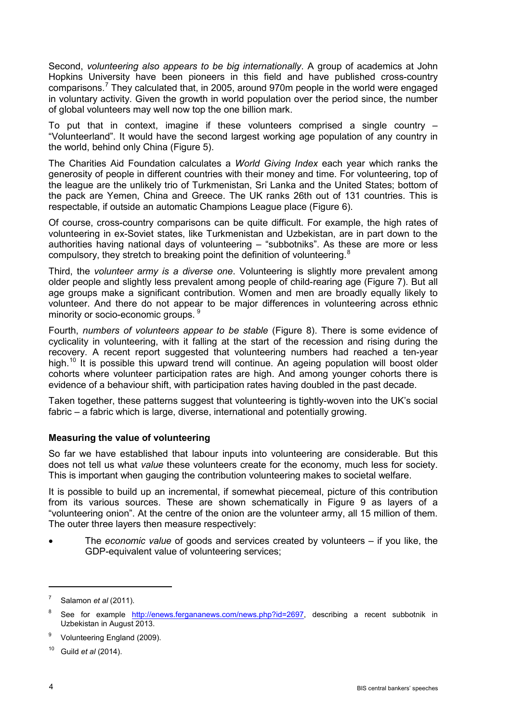Second, *volunteering also appears to be big internationally*. A group of academics at John Hopkins University have been pioneers in this field and have published cross-country comparisons.<sup>[7](#page-3-0)</sup> They calculated that, in 2005, around 970m people in the world were engaged in voluntary activity. Given the growth in world population over the period since, the number of global volunteers may well now top the one billion mark.

To put that in context, imagine if these volunteers comprised a single country – "Volunteerland". It would have the second largest working age population of any country in the world, behind only China (Figure 5).

The Charities Aid Foundation calculates a *World Giving Index* each year which ranks the generosity of people in different countries with their money and time. For volunteering, top of the league are the unlikely trio of Turkmenistan, Sri Lanka and the United States; bottom of the pack are Yemen, China and Greece. The UK ranks 26th out of 131 countries. This is respectable, if outside an automatic Champions League place (Figure 6).

Of course, cross-country comparisons can be quite difficult. For example, the high rates of volunteering in ex-Soviet states, like Turkmenistan and Uzbekistan, are in part down to the authorities having national days of volunteering – "subbotniks". As these are more or less compulsory, they stretch to breaking point the definition of volunteering.<sup>[8](#page-3-1)</sup>

Third, the *volunteer army is a diverse one*. Volunteering is slightly more prevalent among older people and slightly less prevalent among people of child-rearing age (Figure 7). But all age groups make a significant contribution. Women and men are broadly equally likely to volunteer. And there do not appear to be major differences in volunteering across ethnic minority or socio-economic groups. <sup>[9](#page-3-2)</sup>

Fourth, *numbers of volunteers appear to be stable* (Figure 8). There is some evidence of cyclicality in volunteering, with it falling at the start of the recession and rising during the recovery. A recent report suggested that volunteering numbers had reached a ten-year high.<sup>[10](#page-3-3)</sup> It is possible this upward trend will continue. An ageing population will boost older cohorts where volunteer participation rates are high. And among younger cohorts there is evidence of a behaviour shift, with participation rates having doubled in the past decade.

Taken together, these patterns suggest that volunteering is tightly-woven into the UK's social fabric – a fabric which is large, diverse, international and potentially growing.

### **Measuring the value of volunteering**

So far we have established that labour inputs into volunteering are considerable. But this does not tell us what *value* these volunteers create for the economy, much less for society. This is important when gauging the contribution volunteering makes to societal welfare.

It is possible to build up an incremental, if somewhat piecemeal, picture of this contribution from its various sources. These are shown schematically in Figure 9 as layers of a "volunteering onion". At the centre of the onion are the volunteer army, all 15 million of them. The outer three layers then measure respectively:

• The *economic value* of goods and services created by volunteers – if you like, the GDP-equivalent value of volunteering services;

<span id="page-3-0"></span><sup>7</sup> Salamon *et al* (2011).

<span id="page-3-1"></span><sup>&</sup>lt;sup>8</sup> See for example [http://enews.fergananews.com/news.php?id=2697,](http://enews.fergananews.com/news.php?id=2697) describing a recent subbotnik in Uzbekistan in August 2013.

<span id="page-3-2"></span><sup>&</sup>lt;sup>9</sup> Volunteering England (2009).

<span id="page-3-3"></span><sup>10</sup> Guild *et al* (2014).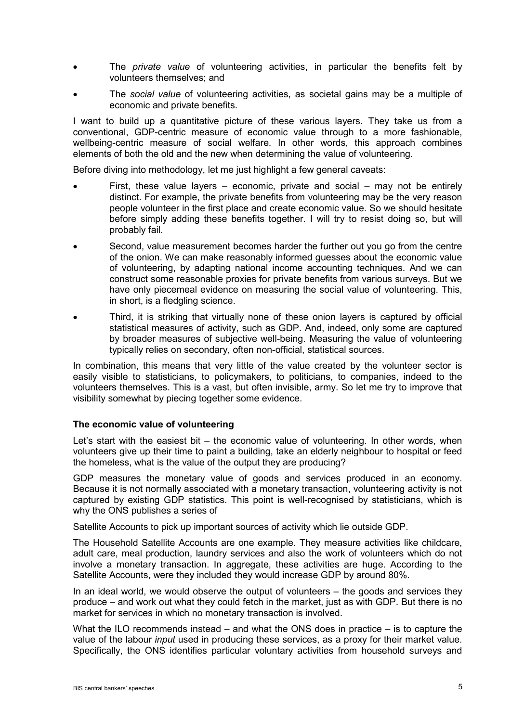- The *private value* of volunteering activities, in particular the benefits felt by volunteers themselves; and
- The *social value* of volunteering activities, as societal gains may be a multiple of economic and private benefits.

I want to build up a quantitative picture of these various layers. They take us from a conventional, GDP-centric measure of economic value through to a more fashionable, wellbeing-centric measure of social welfare. In other words, this approach combines elements of both the old and the new when determining the value of volunteering.

Before diving into methodology, let me just highlight a few general caveats:

- First, these value layers  $-$  economic, private and social  $-$  may not be entirely distinct. For example, the private benefits from volunteering may be the very reason people volunteer in the first place and create economic value. So we should hesitate before simply adding these benefits together. I will try to resist doing so, but will probably fail.
- Second, value measurement becomes harder the further out you go from the centre of the onion. We can make reasonably informed guesses about the economic value of volunteering, by adapting national income accounting techniques. And we can construct some reasonable proxies for private benefits from various surveys. But we have only piecemeal evidence on measuring the social value of volunteering. This, in short, is a fledgling science.
- Third, it is striking that virtually none of these onion layers is captured by official statistical measures of activity, such as GDP. And, indeed, only some are captured by broader measures of subjective well-being. Measuring the value of volunteering typically relies on secondary, often non-official, statistical sources.

In combination, this means that very little of the value created by the volunteer sector is easily visible to statisticians, to policymakers, to politicians, to companies, indeed to the volunteers themselves. This is a vast, but often invisible, army. So let me try to improve that visibility somewhat by piecing together some evidence.

### **The economic value of volunteering**

Let's start with the easiest bit – the economic value of volunteering. In other words, when volunteers give up their time to paint a building, take an elderly neighbour to hospital or feed the homeless, what is the value of the output they are producing?

GDP measures the monetary value of goods and services produced in an economy. Because it is not normally associated with a monetary transaction, volunteering activity is not captured by existing GDP statistics. This point is well-recognised by statisticians, which is why the ONS publishes a series of

Satellite Accounts to pick up important sources of activity which lie outside GDP.

The Household Satellite Accounts are one example. They measure activities like childcare, adult care, meal production, laundry services and also the work of volunteers which do not involve a monetary transaction. In aggregate, these activities are huge. According to the Satellite Accounts, were they included they would increase GDP by around 80%.

In an ideal world, we would observe the output of volunteers – the goods and services they produce – and work out what they could fetch in the market, just as with GDP. But there is no market for services in which no monetary transaction is involved.

What the ILO recommends instead – and what the ONS does in practice – is to capture the value of the labour *input* used in producing these services, as a proxy for their market value. Specifically, the ONS identifies particular voluntary activities from household surveys and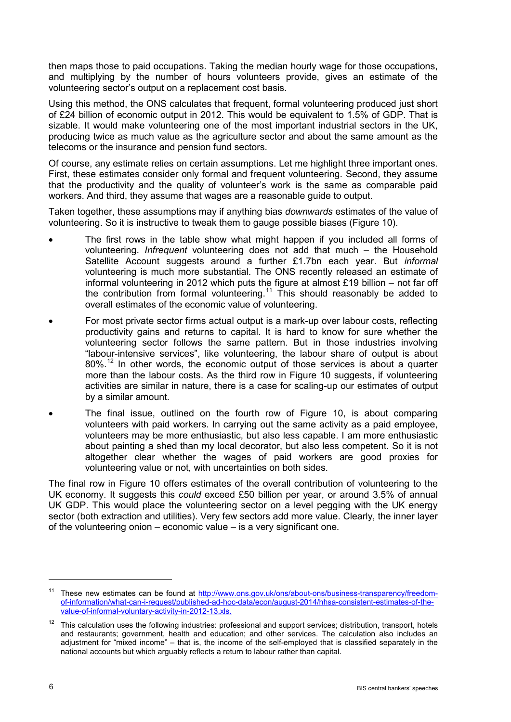then maps those to paid occupations. Taking the median hourly wage for those occupations, and multiplying by the number of hours volunteers provide, gives an estimate of the volunteering sector's output on a replacement cost basis.

Using this method, the ONS calculates that frequent, formal volunteering produced just short of £24 billion of economic output in 2012. This would be equivalent to 1.5% of GDP. That is sizable. It would make volunteering one of the most important industrial sectors in the UK, producing twice as much value as the agriculture sector and about the same amount as the telecoms or the insurance and pension fund sectors.

Of course, any estimate relies on certain assumptions. Let me highlight three important ones. First, these estimates consider only formal and frequent volunteering. Second, they assume that the productivity and the quality of volunteer's work is the same as comparable paid workers. And third, they assume that wages are a reasonable guide to output.

Taken together, these assumptions may if anything bias *downwards* estimates of the value of volunteering. So it is instructive to tweak them to gauge possible biases (Figure 10).

- The first rows in the table show what might happen if you included all forms of volunteering. *Infrequent* volunteering does not add that much – the Household Satellite Account suggests around a further £1.7bn each year. But *informal* volunteering is much more substantial. The ONS recently released an estimate of informal volunteering in 2012 which puts the figure at almost £19 billion  $-$  not far off the contribution from formal volunteering.[11](#page-5-0) This should reasonably be added to overall estimates of the economic value of volunteering.
- For most private sector firms actual output is a mark-up over labour costs, reflecting productivity gains and returns to capital. It is hard to know for sure whether the volunteering sector follows the same pattern. But in those industries involving "labour-intensive services", like volunteering, the labour share of output is about 80%.<sup>[12](#page-5-1)</sup> In other words, the economic output of those services is about a quarter more than the labour costs. As the third row in Figure 10 suggests, if volunteering activities are similar in nature, there is a case for scaling-up our estimates of output by a similar amount.
- The final issue, outlined on the fourth row of Figure 10, is about comparing volunteers with paid workers. In carrying out the same activity as a paid employee, volunteers may be more enthusiastic, but also less capable. I am more enthusiastic about painting a shed than my local decorator, but also less competent. So it is not altogether clear whether the wages of paid workers are good proxies for volunteering value or not, with uncertainties on both sides.

The final row in Figure 10 offers estimates of the overall contribution of volunteering to the UK economy. It suggests this *could* exceed £50 billion per year, or around 3.5% of annual UK GDP. This would place the volunteering sector on a level pegging with the UK energy sector (both extraction and utilities). Very few sectors add more value. Clearly, the inner layer of the volunteering onion – economic value – is a very significant one.

<span id="page-5-0"></span><sup>&</sup>lt;sup>11</sup> These new estimates can be found at [http://www.ons.gov.uk/ons/about-ons/business-transparency/freedom](http://www.ons.gov.uk/ons/about-ons/business-transparency/freedom-of-information/what-can-i-request/published-ad-hoc-data/econ/august-2014/hhsa-consistent-estimates-of-the-value-of-informal-voluntary-activity-in-2012-13.xls)[of-information/what-can-i-request/published-ad-hoc-data/econ/august-2014/hhsa-consistent-estimates-of-the](http://www.ons.gov.uk/ons/about-ons/business-transparency/freedom-of-information/what-can-i-request/published-ad-hoc-data/econ/august-2014/hhsa-consistent-estimates-of-the-value-of-informal-voluntary-activity-in-2012-13.xls)[value-of-informal-voluntary-activity-in-2012-13.xls.](http://www.ons.gov.uk/ons/about-ons/business-transparency/freedom-of-information/what-can-i-request/published-ad-hoc-data/econ/august-2014/hhsa-consistent-estimates-of-the-value-of-informal-voluntary-activity-in-2012-13.xls)

<span id="page-5-1"></span><sup>&</sup>lt;sup>12</sup> This calculation uses the following industries: professional and support services; distribution, transport, hotels and restaurants; government, health and education; and other services. The calculation also includes an adjustment for "mixed income" – that is, the income of the self-employed that is classified separately in the national accounts but which arguably reflects a return to labour rather than capital.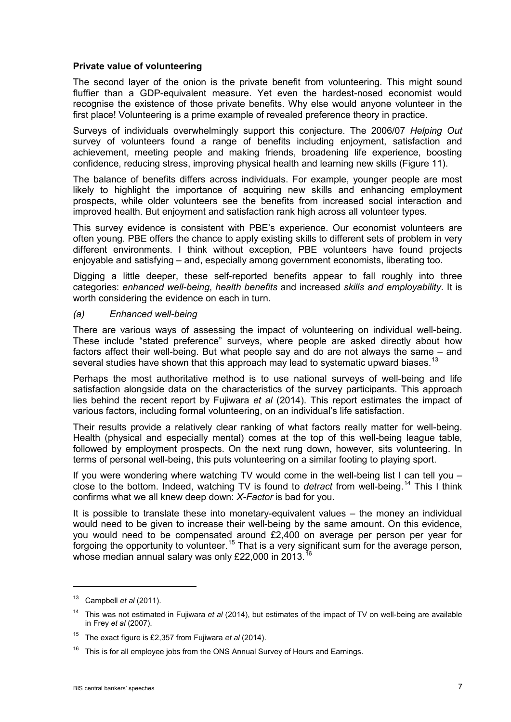### **Private value of volunteering**

The second layer of the onion is the private benefit from volunteering. This might sound fluffier than a GDP-equivalent measure. Yet even the hardest-nosed economist would recognise the existence of those private benefits. Why else would anyone volunteer in the first place! Volunteering is a prime example of revealed preference theory in practice.

Surveys of individuals overwhelmingly support this conjecture. The 2006/07 *Helping Out* survey of volunteers found a range of benefits including enjoyment, satisfaction and achievement, meeting people and making friends, broadening life experience, boosting confidence, reducing stress, improving physical health and learning new skills (Figure 11).

The balance of benefits differs across individuals. For example, younger people are most likely to highlight the importance of acquiring new skills and enhancing employment prospects, while older volunteers see the benefits from increased social interaction and improved health. But enjoyment and satisfaction rank high across all volunteer types.

This survey evidence is consistent with PBE's experience. Our economist volunteers are often young. PBE offers the chance to apply existing skills to different sets of problem in very different environments. I think without exception, PBE volunteers have found projects enjoyable and satisfying – and, especially among government economists, liberating too.

Digging a little deeper, these self-reported benefits appear to fall roughly into three categories: *enhanced well-being*, *health benefits* and increased *skills and employability*. It is worth considering the evidence on each in turn.

### *(a) Enhanced well-being*

There are various ways of assessing the impact of volunteering on individual well-being. These include "stated preference" surveys, where people are asked directly about how factors affect their well-being. But what people say and do are not always the same – and several studies have shown that this approach may lead to systematic upward biases.<sup>[13](#page-6-0)</sup>

Perhaps the most authoritative method is to use national surveys of well-being and life satisfaction alongside data on the characteristics of the survey participants. This approach lies behind the recent report by Fujiwara *et al* (2014). This report estimates the impact of various factors, including formal volunteering, on an individual's life satisfaction.

Their results provide a relatively clear ranking of what factors really matter for well-being. Health (physical and especially mental) comes at the top of this well-being league table, followed by employment prospects. On the next rung down, however, sits volunteering. In terms of personal well-being, this puts volunteering on a similar footing to playing sport.

If you were wondering where watching TV would come in the well-being list I can tell you – close to the bottom. Indeed, watching TV is found to *detract* from well-being.<sup>[14](#page-6-1)</sup> This I think confirms what we all knew deep down: *X-Factor* is bad for you.

It is possible to translate these into monetary-equivalent values – the money an individual would need to be given to increase their well-being by the same amount. On this evidence, you would need to be compensated around £2,400 on average per person per year for forgoing the opportunity to volunteer.<sup>[15](#page-6-2)</sup> That is a very significant sum for the average person, whose median annual salary was only £22,000 in 2013.<sup>[16](#page-6-3)</sup>

<span id="page-6-0"></span><sup>13</sup> Campbell *et al* (2011).

<span id="page-6-1"></span><sup>14</sup> This was not estimated in Fujiwara *et al* (2014), but estimates of the impact of TV on well-being are available in Frey *et al* (2007).

<span id="page-6-2"></span><sup>15</sup> The exact figure is £2,357 from Fujiwara *et al* (2014).

<span id="page-6-3"></span>This is for all employee jobs from the ONS Annual Survey of Hours and Earnings.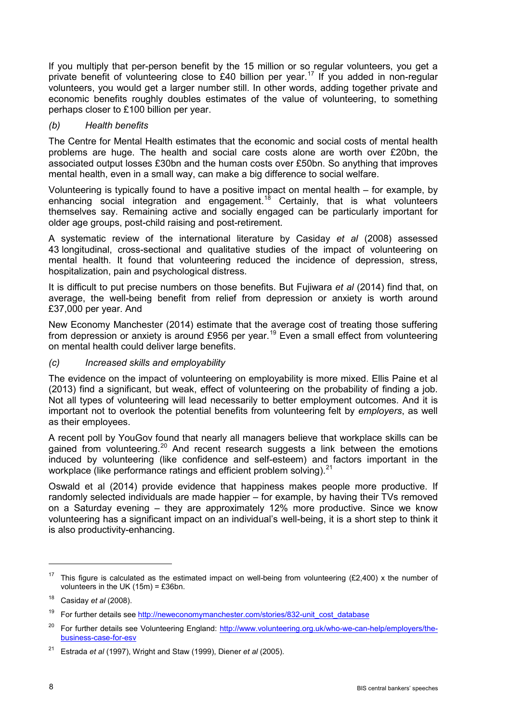If you multiply that per-person benefit by the 15 million or so regular volunteers, you get a private benefit of volunteering close to £40 billion per year.<sup>[17](#page-7-0)</sup> If you added in non-regular volunteers, you would get a larger number still. In other words, adding together private and economic benefits roughly doubles estimates of the value of volunteering, to something perhaps closer to £100 billion per year.

### *(b) Health benefits*

The Centre for Mental Health estimates that the economic and social costs of mental health problems are huge. The health and social care costs alone are worth over £20bn, the associated output losses £30bn and the human costs over £50bn. So anything that improves mental health, even in a small way, can make a big difference to social welfare.

Volunteering is typically found to have a positive impact on mental health – for example, by enhancing social integration and engagement.<sup>[18](#page-7-1)</sup> Certainly, that is what volunteers themselves say. Remaining active and socially engaged can be particularly important for older age groups, post-child raising and post-retirement.

A systematic review of the international literature by Casiday *et al* (2008) assessed 43 longitudinal, cross-sectional and qualitative studies of the impact of volunteering on mental health. It found that volunteering reduced the incidence of depression, stress, hospitalization, pain and psychological distress.

It is difficult to put precise numbers on those benefits. But Fujiwara *et al* (2014) find that, on average, the well-being benefit from relief from depression or anxiety is worth around £37,000 per year. And

New Economy Manchester (2014) estimate that the average cost of treating those suffering from depression or anxiety is around £956 per year.<sup>[19](#page-7-2)</sup> Even a small effect from volunteering on mental health could deliver large benefits.

### *(c) Increased skills and employability*

The evidence on the impact of volunteering on employability is more mixed. Ellis Paine et al (2013) find a significant, but weak, effect of volunteering on the probability of finding a job. Not all types of volunteering will lead necessarily to better employment outcomes. And it is important not to overlook the potential benefits from volunteering felt by *employers*, as well as their employees.

A recent poll by YouGov found that nearly all managers believe that workplace skills can be gained from volunteering.<sup>[20](#page-7-3)</sup> And recent research suggests a link between the emotions induced by volunteering (like confidence and self-esteem) and factors important in the workplace (like performance ratings and efficient problem solving). $^{21}$  $^{21}$  $^{21}$ 

Oswald et al (2014) provide evidence that happiness makes people more productive. If randomly selected individuals are made happier – for example, by having their TVs removed on a Saturday evening – they are approximately 12% more productive. Since we know volunteering has a significant impact on an individual's well-being, it is a short step to think it is also productivity-enhancing.

<span id="page-7-0"></span>This figure is calculated as the estimated impact on well-being from volunteering  $(E2,400)$  x the number of volunteers in the UK (15m) = £36bn.

<span id="page-7-1"></span><sup>18</sup> Casiday *et al* (2008).

<span id="page-7-2"></span><sup>&</sup>lt;sup>19</sup> For further details see [http://neweconomymanchester.com/stories/832-unit\\_cost\\_database](http://neweconomymanchester.com/stories/832-unit_cost_database)

<span id="page-7-3"></span><sup>&</sup>lt;sup>20</sup> For further details see Volunteering England: [http://www.volunteering.org.uk/who-we-can-help/employers/the](http://www.volunteering.org.uk/who-we-can-help/employers/the-business-case-for-esv)[business-case-for-esv](http://www.volunteering.org.uk/who-we-can-help/employers/the-business-case-for-esv)

<span id="page-7-4"></span><sup>21</sup> Estrada *et al* (1997), Wright and Staw (1999), Diener *et al* (2005).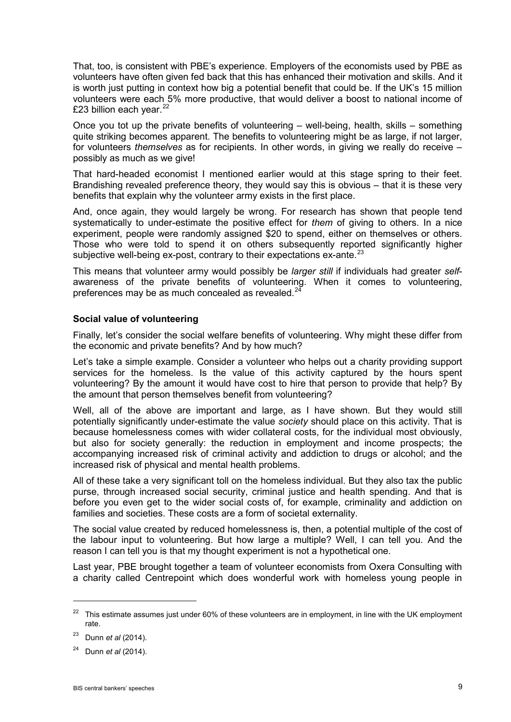That, too, is consistent with PBE's experience. Employers of the economists used by PBE as volunteers have often given fed back that this has enhanced their motivation and skills. And it is worth just putting in context how big a potential benefit that could be. If the UK's 15 million volunteers were each 5% more productive, that would deliver a boost to national income of £23 billion each year. $^{22}$  $^{22}$  $^{22}$ 

Once you tot up the private benefits of volunteering – well-being, health, skills – something quite striking becomes apparent. The benefits to volunteering might be as large, if not larger, for volunteers *themselves* as for recipients. In other words, in giving we really do receive – possibly as much as we give!

That hard-headed economist I mentioned earlier would at this stage spring to their feet. Brandishing revealed preference theory, they would say this is obvious – that it is these very benefits that explain why the volunteer army exists in the first place.

And, once again, they would largely be wrong. For research has shown that people tend systematically to under-estimate the positive effect for *them* of giving to others. In a nice experiment, people were randomly assigned \$20 to spend, either on themselves or others. Those who were told to spend it on others subsequently reported significantly higher subjective well-being ex-post, contrary to their expectations ex-ante. $^{23}$  $^{23}$  $^{23}$ 

This means that volunteer army would possibly be *larger still* if individuals had greater *self*awareness of the private benefits of volunteering. When it comes to volunteering, preferences may be as much concealed as revealed. $^{24}$  $^{24}$  $^{24}$ 

### **Social value of volunteering**

Finally, let's consider the social welfare benefits of volunteering. Why might these differ from the economic and private benefits? And by how much?

Let's take a simple example. Consider a volunteer who helps out a charity providing support services for the homeless. Is the value of this activity captured by the hours spent volunteering? By the amount it would have cost to hire that person to provide that help? By the amount that person themselves benefit from volunteering?

Well, all of the above are important and large, as I have shown. But they would still potentially significantly under-estimate the value *society* should place on this activity. That is because homelessness comes with wider collateral costs, for the individual most obviously, but also for society generally: the reduction in employment and income prospects; the accompanying increased risk of criminal activity and addiction to drugs or alcohol; and the increased risk of physical and mental health problems.

All of these take a very significant toll on the homeless individual. But they also tax the public purse, through increased social security, criminal justice and health spending. And that is before you even get to the wider social costs of, for example, criminality and addiction on families and societies. These costs are a form of societal externality.

The social value created by reduced homelessness is, then, a potential multiple of the cost of the labour input to volunteering. But how large a multiple? Well, I can tell you. And the reason I can tell you is that my thought experiment is not a hypothetical one.

Last year, PBE brought together a team of volunteer economists from Oxera Consulting with a charity called Centrepoint which does wonderful work with homeless young people in

<span id="page-8-0"></span><sup>&</sup>lt;sup>22</sup> This estimate assumes just under 60% of these volunteers are in employment, in line with the UK employment rate.

<span id="page-8-1"></span><sup>23</sup> Dunn *et al* (2014).

<span id="page-8-2"></span><sup>24</sup> Dunn *et al* (2014).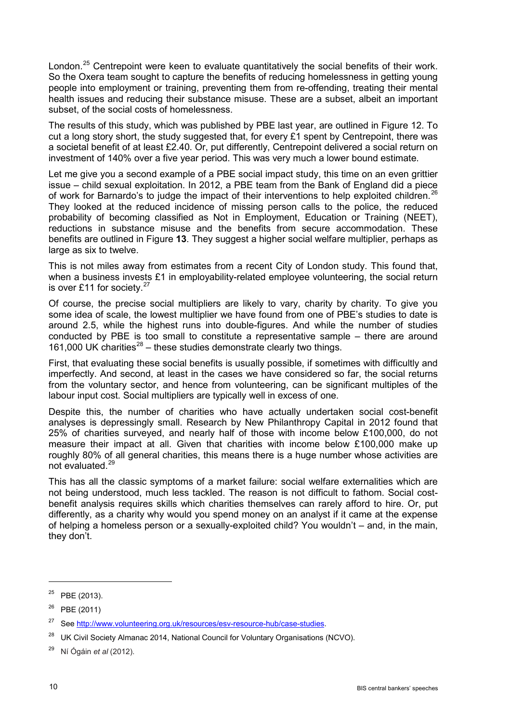London.<sup>[25](#page-9-0)</sup> Centrepoint were keen to evaluate quantitatively the social benefits of their work. So the Oxera team sought to capture the benefits of reducing homelessness in getting young people into employment or training, preventing them from re-offending, treating their mental health issues and reducing their substance misuse. These are a subset, albeit an important subset, of the social costs of homelessness.

The results of this study, which was published by PBE last year, are outlined in Figure 12. To cut a long story short, the study suggested that, for every £1 spent by Centrepoint, there was a societal benefit of at least £2.40. Or, put differently, Centrepoint delivered a social return on investment of 140% over a five year period. This was very much a lower bound estimate.

Let me give you a second example of a PBE social impact study, this time on an even grittier issue – child sexual exploitation. In 2012, a PBE team from the Bank of England did a piece of work for Barnardo's to judge the impact of their interventions to help exploited children.<sup>[26](#page-9-1)</sup> They looked at the reduced incidence of missing person calls to the police, the reduced probability of becoming classified as Not in Employment, Education or Training (NEET), reductions in substance misuse and the benefits from secure accommodation. These benefits are outlined in Figure **13**. They suggest a higher social welfare multiplier, perhaps as large as six to twelve.

This is not miles away from estimates from a recent City of London study. This found that, when a business invests £1 in employability-related employee volunteering, the social return is over £11 for society. $27$ 

Of course, the precise social multipliers are likely to vary, charity by charity. To give you some idea of scale, the lowest multiplier we have found from one of PBE's studies to date is around 2.5, while the highest runs into double-figures. And while the number of studies conducted by PBE is too small to constitute a representative sample – there are around 161,000 UK charities $^{28}$  $^{28}$  $^{28}$  – these studies demonstrate clearly two things.

First, that evaluating these social benefits is usually possible, if sometimes with difficultly and imperfectly. And second, at least in the cases we have considered so far, the social returns from the voluntary sector, and hence from volunteering, can be significant multiples of the labour input cost. Social multipliers are typically well in excess of one.

Despite this, the number of charities who have actually undertaken social cost-benefit analyses is depressingly small. Research by New Philanthropy Capital in 2012 found that 25% of charities surveyed, and nearly half of those with income below £100,000, do not measure their impact at all. Given that charities with income below £100,000 make up roughly 80% of all general charities, this means there is a huge number whose activities are not evaluated.[29](#page-9-4)

This has all the classic symptoms of a market failure: social welfare externalities which are not being understood, much less tackled. The reason is not difficult to fathom. Social costbenefit analysis requires skills which charities themselves can rarely afford to hire. Or, put differently, as a charity why would you spend money on an analyst if it came at the expense of helping a homeless person or a sexually-exploited child? You wouldn't – and, in the main, they don't.

<span id="page-9-0"></span> $25$  PBE (2013).

<span id="page-9-1"></span> $26$  PBE (2011)

<span id="page-9-2"></span><sup>&</sup>lt;sup>27</sup> See [http://www.volunteering.org.uk/resources/esv-resource-hub/case-studies.](http://www.volunteering.org.uk/resources/esv-resource-hub/case-studies)

<span id="page-9-3"></span><sup>&</sup>lt;sup>28</sup> UK Civil Society Almanac 2014, National Council for Voluntary Organisations (NCVO).

<span id="page-9-4"></span><sup>29</sup> Ní Ógáin *et al* (2012).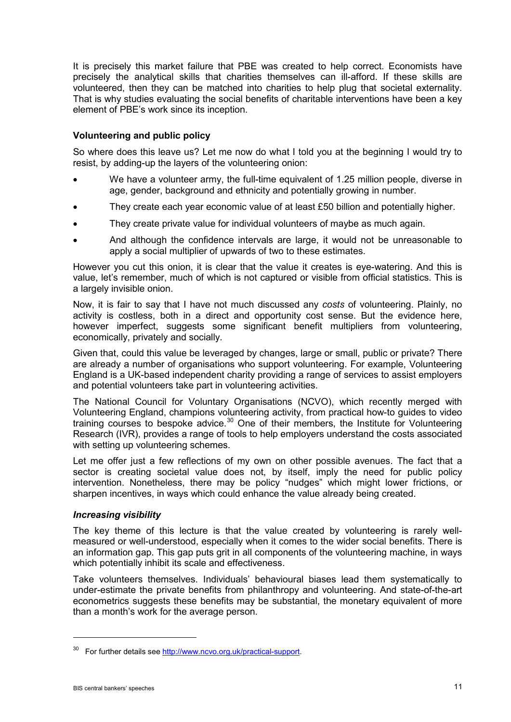It is precisely this market failure that PBE was created to help correct. Economists have precisely the analytical skills that charities themselves can ill-afford. If these skills are volunteered, then they can be matched into charities to help plug that societal externality. That is why studies evaluating the social benefits of charitable interventions have been a key element of PBE's work since its inception.

### **Volunteering and public policy**

So where does this leave us? Let me now do what I told you at the beginning I would try to resist, by adding-up the layers of the volunteering onion:

- We have a volunteer army, the full-time equivalent of 1.25 million people, diverse in age, gender, background and ethnicity and potentially growing in number.
- They create each year economic value of at least  $£50$  billion and potentially higher.
- They create private value for individual volunteers of maybe as much again.
- And although the confidence intervals are large, it would not be unreasonable to apply a social multiplier of upwards of two to these estimates.

However you cut this onion, it is clear that the value it creates is eye-watering. And this is value, let's remember, much of which is not captured or visible from official statistics. This is a largely invisible onion.

Now, it is fair to say that I have not much discussed any *costs* of volunteering. Plainly, no activity is costless, both in a direct and opportunity cost sense. But the evidence here, however imperfect, suggests some significant benefit multipliers from volunteering, economically, privately and socially.

Given that, could this value be leveraged by changes, large or small, public or private? There are already a number of organisations who support volunteering. For example, Volunteering England is a UK-based independent charity providing a range of services to assist employers and potential volunteers take part in volunteering activities.

The National Council for Voluntary Organisations (NCVO), which recently merged with Volunteering England, champions volunteering activity, from practical how-to guides to video training courses to bespoke advice.<sup>[30](#page-10-0)</sup> One of their members, the Institute for Volunteering Research (IVR), provides a range of tools to help employers understand the costs associated with setting up volunteering schemes.

Let me offer just a few reflections of my own on other possible avenues. The fact that a sector is creating societal value does not, by itself, imply the need for public policy intervention. Nonetheless, there may be policy "nudges" which might lower frictions, or sharpen incentives, in ways which could enhance the value already being created.

### *Increasing visibility*

The key theme of this lecture is that the value created by volunteering is rarely wellmeasured or well-understood, especially when it comes to the wider social benefits. There is an information gap. This gap puts grit in all components of the volunteering machine, in ways which potentially inhibit its scale and effectiveness.

Take volunteers themselves. Individuals' behavioural biases lead them systematically to under-estimate the private benefits from philanthropy and volunteering. And state-of-the-art econometrics suggests these benefits may be substantial, the monetary equivalent of more than a month's work for the average person.

<u>.</u>

<span id="page-10-0"></span><sup>&</sup>lt;sup>30</sup> For further details see http://www.ncvo.org.uk/practical-support.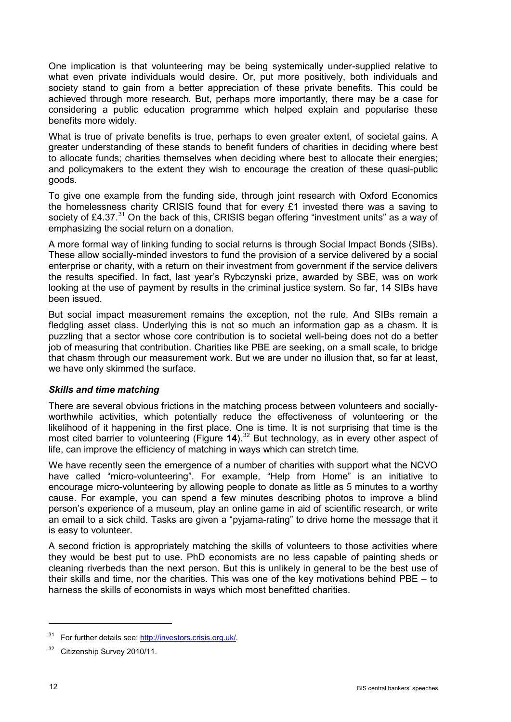One implication is that volunteering may be being systemically under-supplied relative to what even private individuals would desire. Or, put more positively, both individuals and society stand to gain from a better appreciation of these private benefits. This could be achieved through more research. But, perhaps more importantly, there may be a case for considering a public education programme which helped explain and popularise these benefits more widely.

What is true of private benefits is true, perhaps to even greater extent, of societal gains. A greater understanding of these stands to benefit funders of charities in deciding where best to allocate funds; charities themselves when deciding where best to allocate their energies; and policymakers to the extent they wish to encourage the creation of these quasi-public goods.

To give one example from the funding side, through joint research with Oxford Economics the homelessness charity CRISIS found that for every £1 invested there was a saving to society of £4.37.<sup>[31](#page-11-0)</sup> On the back of this, CRISIS began offering "investment units" as a way of emphasizing the social return on a donation.

A more formal way of linking funding to social returns is through Social Impact Bonds (SIBs). These allow socially-minded investors to fund the provision of a service delivered by a social enterprise or charity, with a return on their investment from government if the service delivers the results specified. In fact, last year's Rybczynski prize, awarded by SBE, was on work looking at the use of payment by results in the criminal justice system. So far, 14 SIBs have been issued.

But social impact measurement remains the exception, not the rule. And SIBs remain a fledgling asset class. Underlying this is not so much an information gap as a chasm. It is puzzling that a sector whose core contribution is to societal well-being does not do a better job of measuring that contribution. Charities like PBE are seeking, on a small scale, to bridge that chasm through our measurement work. But we are under no illusion that, so far at least, we have only skimmed the surface.

## *Skills and time matching*

There are several obvious frictions in the matching process between volunteers and sociallyworthwhile activities, which potentially reduce the effectiveness of volunteering or the likelihood of it happening in the first place. One is time. It is not surprising that time is the most cited barrier to volunteering (Figure 14).<sup>[32](#page-11-1)</sup> But technology, as in every other aspect of life, can improve the efficiency of matching in ways which can stretch time.

We have recently seen the emergence of a number of charities with support what the NCVO have called "micro-volunteering". For example, "Help from Home" is an initiative to encourage micro-volunteering by allowing people to donate as little as 5 minutes to a worthy cause. For example, you can spend a few minutes describing photos to improve a blind person's experience of a museum, play an online game in aid of scientific research, or write an email to a sick child. Tasks are given a "pyjama-rating" to drive home the message that it is easy to volunteer.

A second friction is appropriately matching the skills of volunteers to those activities where they would be best put to use. PhD economists are no less capable of painting sheds or cleaning riverbeds than the next person. But this is unlikely in general to be the best use of their skills and time, nor the charities. This was one of the key motivations behind PBE – to harness the skills of economists in ways which most benefitted charities.

<span id="page-11-0"></span><sup>31</sup> For further details see: [http://investors.crisis.org.uk/.](http://investors.crisis.org.uk/)

<span id="page-11-1"></span><sup>&</sup>lt;sup>32</sup> Citizenship Survey 2010/11.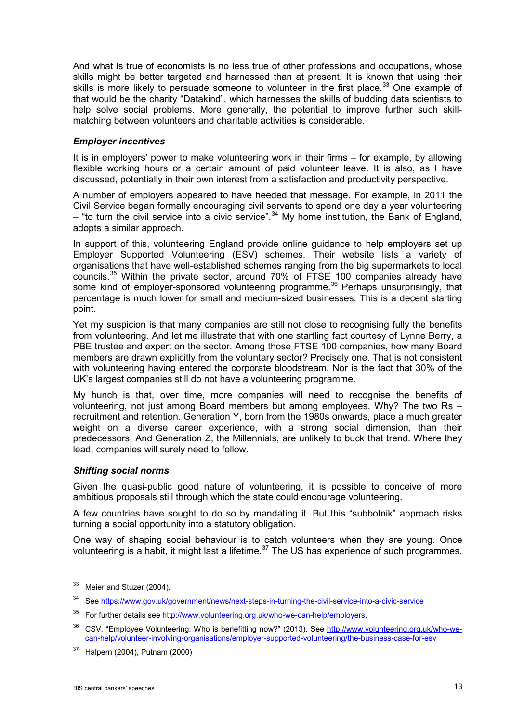And what is true of economists is no less true of other professions and occupations, whose skills might be better targeted and harnessed than at present. It is known that using their skills is more likely to persuade someone to volunteer in the first place.<sup>[33](#page-12-0)</sup> One example of that would be the charity "Datakind", which harnesses the skills of budding data scientists to help solve social problems. More generally, the potential to improve further such skillmatching between volunteers and charitable activities is considerable.

### *Employer incentives*

It is in employers' power to make volunteering work in their firms – for example, by allowing flexible working hours or a certain amount of paid volunteer leave. It is also, as I have discussed, potentially in their own interest from a satisfaction and productivity perspective.

A number of employers appeared to have heeded that message. For example, in 2011 the Civil Service began formally encouraging civil servants to spend one day a year volunteering – "to turn the civil service into a civic service".<sup>[34](#page-12-1)</sup> My home institution, the Bank of England, adopts a similar approach.

In support of this, volunteering England provide online guidance to help employers set up Employer Supported Volunteering (ESV) schemes. Their website lists a variety of organisations that have well-established schemes ranging from the big supermarkets to local councils.<sup>[35](#page-12-2)</sup> Within the private sector, around 70% of FTSE 100 companies already have some kind of employer-sponsored volunteering programme.<sup>[36](#page-12-3)</sup> Perhaps unsurprisingly, that percentage is much lower for small and medium-sized businesses. This is a decent starting point.

Yet my suspicion is that many companies are still not close to recognising fully the benefits from volunteering. And let me illustrate that with one startling fact courtesy of Lynne Berry, a PBE trustee and expert on the sector. Among those FTSE 100 companies, how many Board members are drawn explicitly from the voluntary sector? Precisely one. That is not consistent with volunteering having entered the corporate bloodstream. Nor is the fact that 30% of the UK's largest companies still do not have a volunteering programme.

My hunch is that, over time, more companies will need to recognise the benefits of volunteering, not just among Board members but among employees. Why? The two Rs – recruitment and retention. Generation Y, born from the 1980s onwards, place a much greater weight on a diverse career experience, with a strong social dimension, than their predecessors. And Generation Z, the Millennials, are unlikely to buck that trend. Where they lead, companies will surely need to follow.

### *Shifting social norms*

Given the quasi-public good nature of volunteering, it is possible to conceive of more ambitious proposals still through which the state could encourage volunteering.

A few countries have sought to do so by mandating it. But this "subbotnik" approach risks turning a social opportunity into a statutory obligation.

One way of shaping social behaviour is to catch volunteers when they are young. Once volunteering is a habit, it might last a lifetime.<sup>[37](#page-12-4)</sup> The US has experience of such programmes.

<span id="page-12-0"></span><sup>&</sup>lt;sup>33</sup> Meier and Stuzer (2004).

<span id="page-12-1"></span><sup>34</sup> See [https://www.gov.uk/government/news/next-steps-in-turning-the-civil-service-into-a-civic-service](http://www.bankofengland.co.uk/publications/Pages/speeches/default.aspx)

<span id="page-12-2"></span><sup>35</sup> For further details see [http://www.volunteering.org.uk/who-we-can-help/employers.](http://www.volunteering.org.uk/who-we-can-help/employers)

<span id="page-12-3"></span><sup>&</sup>lt;sup>36</sup> CSV, "Employee Volunteering: Who is benefitting now?" (2013). See [http://www.volunteering.org.uk/who-we](http://www.volunteering.org.uk/who-we-can-help/volunteer-involving-organisations/employer-supported-volunteering/the-business-case-for-esv)[can-help/volunteer-involving-organisations/employer-supported-volunteering/the-business-case-for-esv](http://www.volunteering.org.uk/who-we-can-help/volunteer-involving-organisations/employer-supported-volunteering/the-business-case-for-esv)

<span id="page-12-4"></span><sup>37</sup> Halpern (2004), Putnam (2000)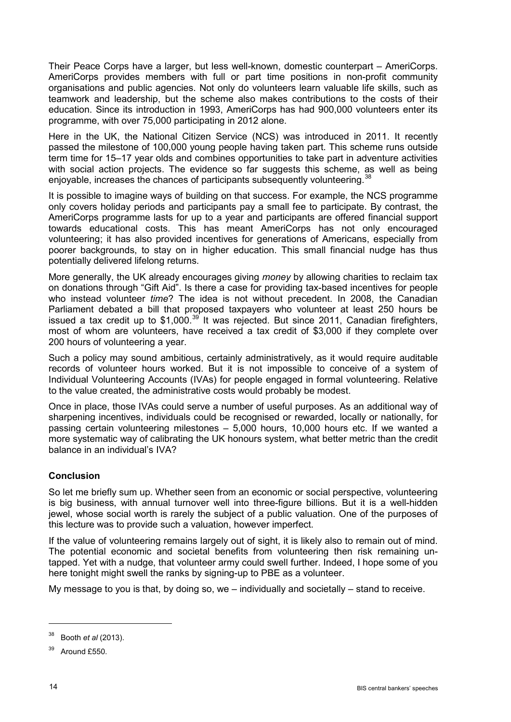Their Peace Corps have a larger, but less well-known, domestic counterpart – AmeriCorps. AmeriCorps provides members with full or part time positions in non-profit community organisations and public agencies. Not only do volunteers learn valuable life skills, such as teamwork and leadership, but the scheme also makes contributions to the costs of their education. Since its introduction in 1993, AmeriCorps has had 900,000 volunteers enter its programme, with over 75,000 participating in 2012 alone.

Here in the UK, the National Citizen Service (NCS) was introduced in 2011. It recently passed the milestone of 100,000 young people having taken part. This scheme runs outside term time for 15–17 year olds and combines opportunities to take part in adventure activities with social action projects. The evidence so far suggests this scheme, as well as being enjoyable, increases the chances of participants subsequently volunteering.<sup>[38](#page-13-0)</sup>

It is possible to imagine ways of building on that success. For example, the NCS programme only covers holiday periods and participants pay a small fee to participate. By contrast, the AmeriCorps programme lasts for up to a year and participants are offered financial support towards educational costs. This has meant AmeriCorps has not only encouraged volunteering; it has also provided incentives for generations of Americans, especially from poorer backgrounds, to stay on in higher education. This small financial nudge has thus potentially delivered lifelong returns.

More generally, the UK already encourages giving *money* by allowing charities to reclaim tax on donations through "Gift Aid". Is there a case for providing tax-based incentives for people who instead volunteer *time*? The idea is not without precedent. In 2008, the Canadian Parliament debated a bill that proposed taxpayers who volunteer at least 250 hours be issued a tax credit up to  $$1,000$ .<sup>[39](#page-13-1)</sup> It was rejected. But since 2011, Canadian firefighters, most of whom are volunteers, have received a tax credit of \$3,000 if they complete over 200 hours of volunteering a year.

Such a policy may sound ambitious, certainly administratively, as it would require auditable records of volunteer hours worked. But it is not impossible to conceive of a system of Individual Volunteering Accounts (IVAs) for people engaged in formal volunteering. Relative to the value created, the administrative costs would probably be modest.

Once in place, those IVAs could serve a number of useful purposes. As an additional way of sharpening incentives, individuals could be recognised or rewarded, locally or nationally, for passing certain volunteering milestones – 5,000 hours, 10,000 hours etc. If we wanted a more systematic way of calibrating the UK honours system, what better metric than the credit balance in an individual's IVA?

## **Conclusion**

So let me briefly sum up. Whether seen from an economic or social perspective, volunteering is big business, with annual turnover well into three-figure billions. But it is a well-hidden jewel, whose social worth is rarely the subject of a public valuation. One of the purposes of this lecture was to provide such a valuation, however imperfect.

If the value of volunteering remains largely out of sight, it is likely also to remain out of mind. The potential economic and societal benefits from volunteering then risk remaining untapped. Yet with a nudge, that volunteer army could swell further. Indeed, I hope some of you here tonight might swell the ranks by signing-up to PBE as a volunteer.

My message to you is that, by doing so, we – individually and societally – stand to receive.

<span id="page-13-0"></span><sup>38</sup> Booth *et al* (2013).

<span id="page-13-1"></span><sup>39</sup> Around £550.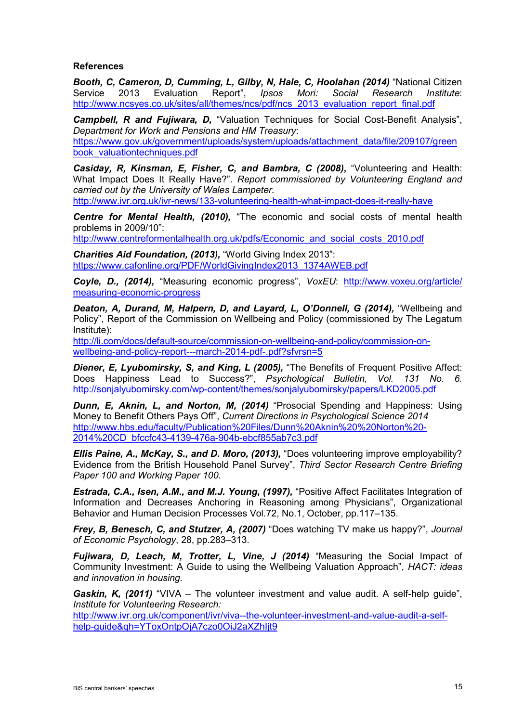### **References**

*Booth, C, Cameron, D, Cumming, L, Gilby, N, Hale, C, Hoolahan (2014)* "National Citizen Service 2013 Evaluation Report", *Ipsos Mori: Social Research Institute*: [http://www.ncsyes.co.uk/sites/all/themes/ncs/pdf/ncs\\_2013\\_evaluation\\_report\\_final.pdf](http://www.ncsyes.co.uk/sites/all/themes/ncs/pdf/ncs_2013_evaluation_report_final.pdf)

*Campbell, R and Fujiwara, D,* "Valuation Techniques for Social Cost-Benefit Analysis", *Department for Work and Pensions and HM Treasury*: [https://www.gov.uk/government/uploads/system/uploads/attachment\\_data/file/209107/green](https://www.gov.uk/government/uploads/system/uploads/attachment_data/file/209107/greenbook_valuationtechniques.pdf) [book\\_valuationtechniques.pdf](https://www.gov.uk/government/uploads/system/uploads/attachment_data/file/209107/greenbook_valuationtechniques.pdf)

*Casiday, R, Kinsman, E, Fisher, C, and Bambra, C (2008)***,** "Volunteering and Health: What Impact Does It Really Have?". *Report commissioned by Volunteering England and carried out by the University of Wales Lampeter.*

<http://www.ivr.org.uk/ivr-news/133-volunteering-health-what-impact-does-it-really-have>

*Centre for Mental Health, (2010),* "The economic and social costs of mental health problems in 2009/10":

[http://www.centreformentalhealth.org.uk/pdfs/Economic\\_and\\_social\\_costs\\_2010.pdf](http://www.centreformentalhealth.org.uk/pdfs/Economic_and_social_costs_2010.pdf)

*Charities Aid Foundation, (2013),* "World Giving Index 2013": [https://www.cafonline.org/PDF/WorldGivingIndex2013\\_1374AWEB.pdf](https://www.cafonline.org/PDF/WorldGivingIndex2013_1374AWEB.pdf)

*Coyle, D., (2014),* "Measuring economic progress", *VoxEU*: [http://www.voxeu.org/article/](http://www.voxeu.org/article/measuring-economic-progress) [measuring-economic-progress](http://www.voxeu.org/article/measuring-economic-progress)

*Deaton, A, Durand, M, Halpern, D, and Layard, L, O'Donnell, G (2014),* "Wellbeing and Policy", Report of the Commission on Wellbeing and Policy (commissioned by The Legatum Institute):

[http://li.com/docs/default-source/commission-on-wellbeing-and-policy/commission-on](http://li.com/docs/default-source/commission-on-wellbeing-and-policy/commission-on-wellbeing-and-policy-report---march-2014-pdf-.pdf?sfvrsn=5)[wellbeing-and-policy-report---march-2014-pdf-.pdf?sfvrsn=5](http://li.com/docs/default-source/commission-on-wellbeing-and-policy/commission-on-wellbeing-and-policy-report---march-2014-pdf-.pdf?sfvrsn=5)

*Diener, E, Lyubomirsky, S, and King, L (2005),* "The Benefits of Frequent Positive Affect: Does Happiness Lead to Success?", *Psychological Bulletin, Vol. 131 No. 6.*  <http://sonjalyubomirsky.com/wp-content/themes/sonjalyubomirsky/papers/LKD2005.pdf>

*Dunn, E, Aknin, L, and Norton, M, (2014)* "Prosocial Spending and Happiness: Using Money to Benefit Others Pays Off", *Current Directions in Psychological Science 2014* [http://www.hbs.edu/faculty/Publication%20Files/Dunn%20Aknin%20%20Norton%20-](http://www.hbs.edu/faculty/Publication%20Files/Dunn%20Aknin%20%20Norton%20-2014%20CD_bfccfc43-4139-476a-904b-ebcf855ab7c3.pdf) [2014%20CD\\_bfccfc43-4139-476a-904b-ebcf855ab7c3.pdf](http://www.hbs.edu/faculty/Publication%20Files/Dunn%20Aknin%20%20Norton%20-2014%20CD_bfccfc43-4139-476a-904b-ebcf855ab7c3.pdf)

*Ellis Paine, A., McKay, S., and D. Moro, (2013),* "Does volunteering improve employability? Evidence from the British Household Panel Survey", *Third Sector Research Centre Briefing Paper 100 and Working Paper 100.*

*Estrada, C.A., Isen, A.M., and M.J. Young, (1997),* "Positive Affect Facilitates Integration of Information and Decreases Anchoring in Reasoning among Physicians", Organizational Behavior and Human Decision Processes Vol.72, No.1, October, pp.117–135.

*Frey, B, Benesch, C, and Stutzer, A, (2007)* "Does watching TV make us happy?", *Journal of Economic Psychology*, 28, pp.283–313.

*Fujiwara, D, Leach, M, Trotter, L, Vine, J (2014)* "Measuring the Social Impact of Community Investment: A Guide to using the Wellbeing Valuation Approach", *HACT: ideas and innovation in housing.*

*Gaskin, K, (2011)* "VIVA – The volunteer investment and value audit. A self-help guide", *Institute for Volunteering Research:*

[http://www.ivr.org.uk/component/ivr/viva--the-volunteer-investment-and-value-audit-a-self](http://www.ivr.org.uk/component/ivr/viva--the-volunteer-investment-and-value-audit-a-self-help-guide&qh=YToxOntpOjA7czo0OiJ2aXZhIjt9)[help-guide&qh=YToxOntpOjA7czo0OiJ2aXZhIjt9](http://www.ivr.org.uk/component/ivr/viva--the-volunteer-investment-and-value-audit-a-self-help-guide&qh=YToxOntpOjA7czo0OiJ2aXZhIjt9)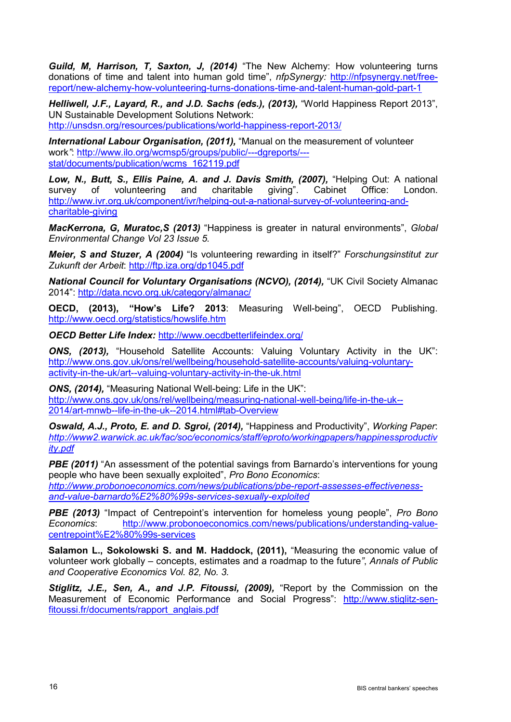*Guild, M, Harrison, T, Saxton, J, (2014)* "The New Alchemy: How volunteering turns donations of time and talent into human gold time", *nfpSynergy:* [http://nfpsynergy.net/free](http://nfpsynergy.net/free-report/new-alchemy-how-volunteering-turns-donations-time-and-talent-human-gold-part-1)[report/new-alchemy-how-volunteering-turns-donations-time-and-talent-human-gold-part-1](http://nfpsynergy.net/free-report/new-alchemy-how-volunteering-turns-donations-time-and-talent-human-gold-part-1)

*Helliwell, J.F., Layard, R., and J.D. Sachs (eds.), (2013),* "World Happiness Report 2013", UN Sustainable Development Solutions Network:

<http://unsdsn.org/resources/publications/world-happiness-report-2013/>

*International Labour Organisation, (2011),* "Manual on the measurement of volunteer work*"*: [http://www.ilo.org/wcmsp5/groups/public/---dgreports/--](http://www.ilo.org/wcmsp5/groups/public/---dgreports/---stat/documents/publication/wcms_162119.pdf) [stat/documents/publication/wcms\\_162119.pdf](http://www.ilo.org/wcmsp5/groups/public/---dgreports/---stat/documents/publication/wcms_162119.pdf)

*Low, N., Butt, S., Ellis Paine, A. and J. Davis Smith, (2007),* "Helping Out: A national survey of volunteering and charitable giving". Cabinet Office: London. [http://www.ivr.org.uk/component/ivr/helping-out-a-national-survey-of-volunteering-and](http://www.ivr.org.uk/component/ivr/helping-out-a-national-survey-of-volunteering-and-charitable-giving)[charitable-giving](http://www.ivr.org.uk/component/ivr/helping-out-a-national-survey-of-volunteering-and-charitable-giving)

*MacKerrona, G, Muratoc,S (2013)* "Happiness is greater in natural environments", *Global Environmental Change Vol 23 Issue 5.*

*Meier, S and Stuzer, A (2004)* "Is volunteering rewarding in itself?" *Forschungsinstitut zur Zukunft der Arbeit*:<http://ftp.iza.org/dp1045.pdf>

*National Council for Voluntary Organisations (NCVO), (2014),* "UK Civil Society Almanac 2014":<http://data.ncvo.org.uk/category/almanac/>

**OECD, (2013), "How's Life? 2013**: Measuring Well-being", OECD Publishing. <http://www.oecd.org/statistics/howslife.htm>

*OECD Better Life Index:* <http://www.oecdbetterlifeindex.org/>

*ONS, (2013),* "Household Satellite Accounts: Valuing Voluntary Activity in the UK": [http://www.ons.gov.uk/ons/rel/wellbeing/household-satellite-accounts/valuing-voluntary](http://www.ons.gov.uk/ons/rel/wellbeing/household-satellite-accounts/valuing-voluntary-activity-in-the-uk/art--valuing-voluntary-activity-in-the-uk.html)[activity-in-the-uk/art--valuing-voluntary-activity-in-the-uk.html](http://www.ons.gov.uk/ons/rel/wellbeing/household-satellite-accounts/valuing-voluntary-activity-in-the-uk/art--valuing-voluntary-activity-in-the-uk.html)

*ONS, (2014),* "Measuring National Well-being: Life in the UK": [http://www.ons.gov.uk/ons/rel/wellbeing/measuring-national-well-being/life-in-the-uk--](http://www.ons.gov.uk/ons/rel/wellbeing/measuring-national-well-being/life-in-the-uk--2014/art-mnwb--life-in-the-uk--2014.html%23tab-Overview) [2014/art-mnwb--life-in-the-uk--2014.html#tab-Overview](http://www.ons.gov.uk/ons/rel/wellbeing/measuring-national-well-being/life-in-the-uk--2014/art-mnwb--life-in-the-uk--2014.html%23tab-Overview)

*Oswald, A.J., Proto, E. and D. Sgroi, (2014),* "Happiness and Productivity", *Working Paper*: *[http://www2.warwick.ac.uk/fac/soc/economics/staff/eproto/workingpapers/happinessproductiv](http://www2.warwick.ac.uk/fac/soc/economics/staff/eproto/workingpapers/happinessproductivity.pdf) [ity.pdf](http://www2.warwick.ac.uk/fac/soc/economics/staff/eproto/workingpapers/happinessproductivity.pdf)*

**PBE (2011)** "An assessment of the potential savings from Barnardo's interventions for young people who have been sexually exploited", *Pro Bono Economics*: *[http://www.probonoeconomics.com/news/publications/pbe-report-assesses-effectiveness](http://www.probonoeconomics.com/news/publications/pbe-report-assesses-effectiveness-and-value-barnardo%E2%80%99s-services-sexually-exploited)[and-value-barnardo%E2%80%99s-services-sexually-exploited](http://www.probonoeconomics.com/news/publications/pbe-report-assesses-effectiveness-and-value-barnardo%E2%80%99s-services-sexually-exploited)*

*PBE (2013)* "Impact of Centrepoint's intervention for homeless young people", *Pro Bono Economics*: [http://www.probonoeconomics.com/news/publications/understanding-value](http://www.probonoeconomics.com/news/publications/understanding-value-centrepoint%E2%80%99s-services)[centrepoint%E2%80%99s-services](http://www.probonoeconomics.com/news/publications/understanding-value-centrepoint%E2%80%99s-services)

**Salamon L., Sokolowski S. and M. Haddock, (2011),** "Measuring the economic value of volunteer work globally – concepts, estimates and a roadmap to the future*"*, *Annals of Public and Cooperative Economics Vol. 82, No. 3.*

*Stiglitz, J.E., Sen, A., and J.P. Fitoussi, (2009),* "Report by the Commission on the Measurement of Economic Performance and Social Progress": [http://www.stiglitz-sen](http://www.stiglitz-sen-fitoussi.fr/documents/rapport_anglais.pdf)[fitoussi.fr/documents/rapport\\_anglais.pdf](http://www.stiglitz-sen-fitoussi.fr/documents/rapport_anglais.pdf)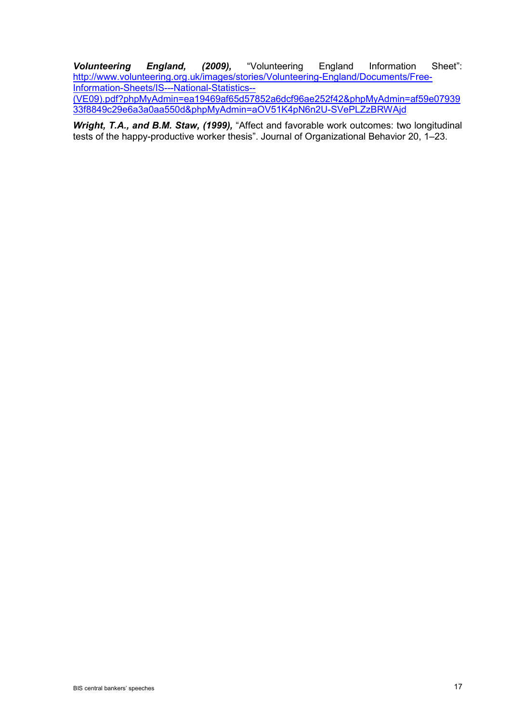*Volunteering England, (2009),* "Volunteering England Information Sheet": [http://www.volunteering.org.uk/images/stories/Volunteering-England/Documents/Free-](http://www.volunteering.org.uk/images/stories/Volunteering-England/Documents/Free-Information-Sheets/IS---National-Statistics--(VE09).pdf?phpMyAdmin=ea19469af65d57852a6dcf96ae252f42&phpMyAdmin=af59e0793933f8849c29e6a3a0aa550d&phpMyAdmin=aOV51K4pN6n2U-SVePLZzBRWAjd)[Information-Sheets/IS---National-Statistics--](http://www.volunteering.org.uk/images/stories/Volunteering-England/Documents/Free-Information-Sheets/IS---National-Statistics--(VE09).pdf?phpMyAdmin=ea19469af65d57852a6dcf96ae252f42&phpMyAdmin=af59e0793933f8849c29e6a3a0aa550d&phpMyAdmin=aOV51K4pN6n2U-SVePLZzBRWAjd) [\(VE09\).pdf?phpMyAdmin=ea19469af65d57852a6dcf96ae252f42&phpMyAdmin=af59e07939](http://www.volunteering.org.uk/images/stories/Volunteering-England/Documents/Free-Information-Sheets/IS---National-Statistics--(VE09).pdf?phpMyAdmin=ea19469af65d57852a6dcf96ae252f42&phpMyAdmin=af59e0793933f8849c29e6a3a0aa550d&phpMyAdmin=aOV51K4pN6n2U-SVePLZzBRWAjd) [33f8849c29e6a3a0aa550d&phpMyAdmin=aOV51K4pN6n2U-SVePLZzBRWAjd](http://www.volunteering.org.uk/images/stories/Volunteering-England/Documents/Free-Information-Sheets/IS---National-Statistics--(VE09).pdf?phpMyAdmin=ea19469af65d57852a6dcf96ae252f42&phpMyAdmin=af59e0793933f8849c29e6a3a0aa550d&phpMyAdmin=aOV51K4pN6n2U-SVePLZzBRWAjd)

*Wright, T.A., and B.M. Staw, (1999),* "Affect and favorable work outcomes: two longitudinal tests of the happy-productive worker thesis". Journal of Organizational Behavior 20, 1–23.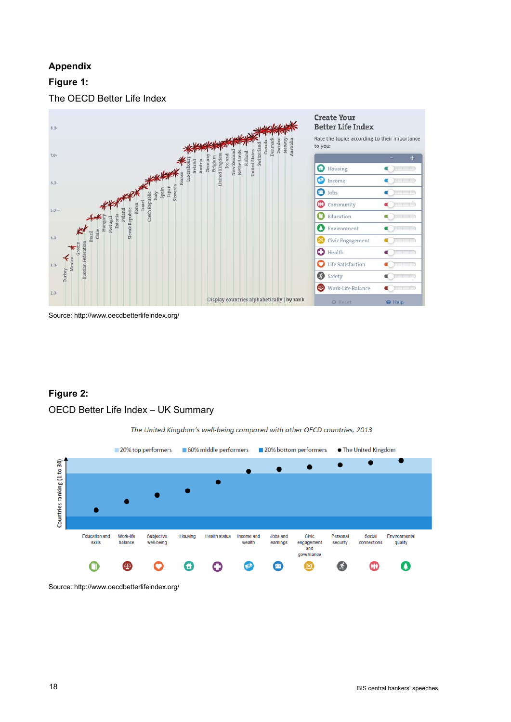# **Appendix**

# **Figure 1:**

The OECD Better Life Index



Source: http://www.oecdbetterlifeindex.org/

## **Figure 2:**

### OECD Better Life Index – UK Summary





Source: http://www.oecdbetterlifeindex.org/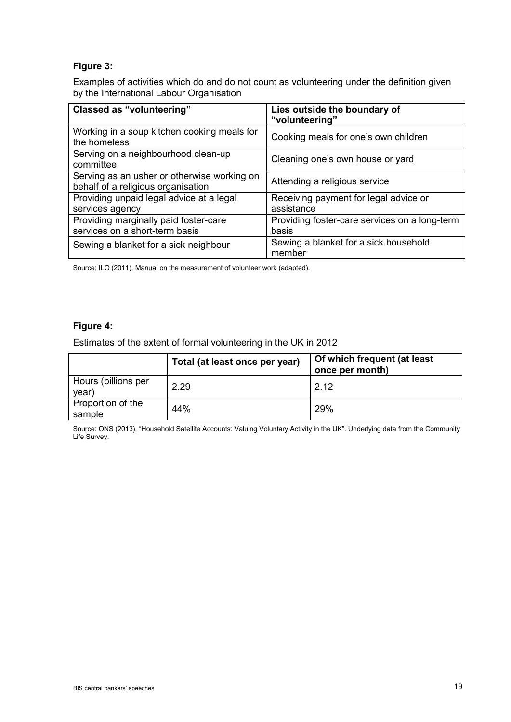### **Figure 3:**

Examples of activities which do and do not count as volunteering under the definition given by the International Labour Organisation

| <b>Classed as "volunteering"</b>                                                  | Lies outside the boundary of<br>"volunteering"         |
|-----------------------------------------------------------------------------------|--------------------------------------------------------|
| Working in a soup kitchen cooking meals for<br>the homeless                       | Cooking meals for one's own children                   |
| Serving on a neighbourhood clean-up<br>committee                                  | Cleaning one's own house or yard                       |
| Serving as an usher or otherwise working on<br>behalf of a religious organisation | Attending a religious service                          |
| Providing unpaid legal advice at a legal<br>services agency                       | Receiving payment for legal advice or<br>assistance    |
| Providing marginally paid foster-care<br>services on a short-term basis           | Providing foster-care services on a long-term<br>basis |
| Sewing a blanket for a sick neighbour                                             | Sewing a blanket for a sick household<br>member        |

Source: ILO (2011), Manual on the measurement of volunteer work (adapted).

### **Figure 4:**

Estimates of the extent of formal volunteering in the UK in 2012

|                              | Total (at least once per year) | Of which frequent (at least<br>once per month) |
|------------------------------|--------------------------------|------------------------------------------------|
| Hours (billions per<br>year) | 2.29                           | 2 12                                           |
| Proportion of the<br>sample  | 44%                            | 29%                                            |

Source: ONS (2013), "Household Satellite Accounts: Valuing Voluntary Activity in the UK". Underlying data from the Community Life Survey.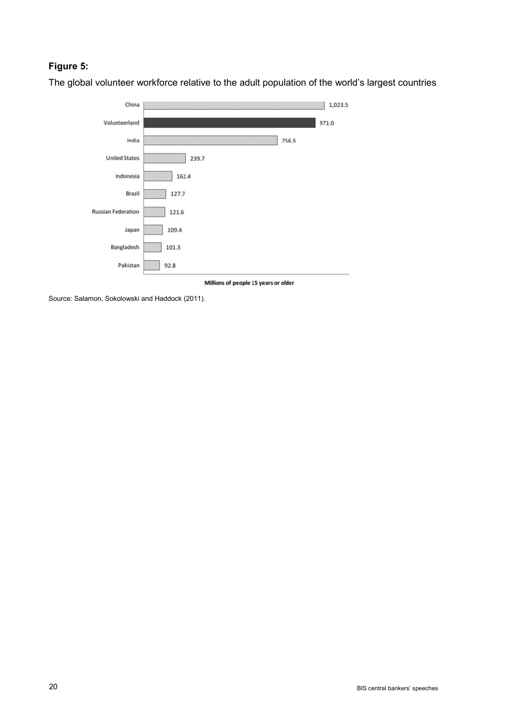# **Figure 5:**

The global volunteer workforce relative to the adult population of the world's largest countries



Millions of people 15 years or older

Source: Salamon, Sokolowski and Haddock (2011).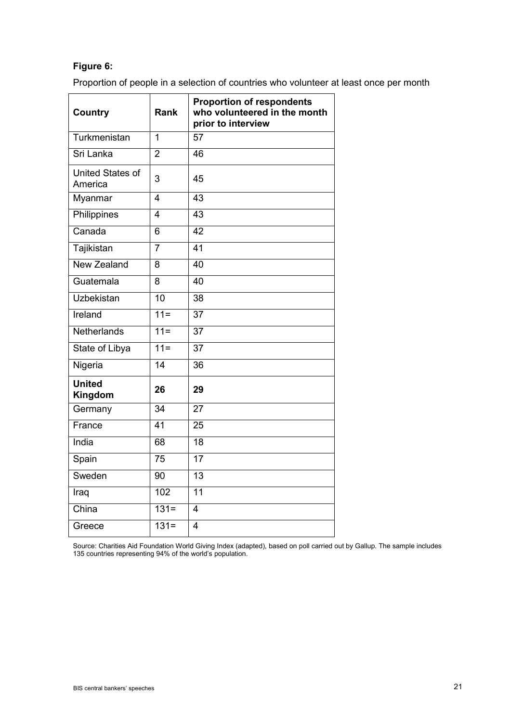# **Figure 6:**

Proportion of people in a selection of countries who volunteer at least once per month

| <b>Country</b>              | <b>Rank</b>             | <b>Proportion of respondents</b><br>who volunteered in the month<br>prior to interview |
|-----------------------------|-------------------------|----------------------------------------------------------------------------------------|
| Turkmenistan                | $\overline{1}$          | 57                                                                                     |
| Sri Lanka                   | $\overline{2}$          | 46                                                                                     |
| United States of<br>America | 3                       | 45                                                                                     |
| Myanmar                     | $\overline{\mathbf{4}}$ | 43                                                                                     |
| Philippines                 | 4                       | 43                                                                                     |
| Canada                      | 6                       | 42                                                                                     |
| Tajikistan                  | $\overline{7}$          | 41                                                                                     |
| <b>New Zealand</b>          | 8                       | 40                                                                                     |
| Guatemala                   | 8                       | 40                                                                                     |
| <b>Uzbekistan</b>           | 10                      | 38                                                                                     |
| Ireland                     | $11 =$                  | 37                                                                                     |
| Netherlands                 | $11 =$                  | 37                                                                                     |
| State of Libya              | $11 =$                  | 37                                                                                     |
| Nigeria                     | 14                      | 36                                                                                     |
| <b>United</b><br>Kingdom    | 26                      | 29                                                                                     |
| Germany                     | 34                      | 27                                                                                     |
| France                      | 41                      | 25                                                                                     |
| India                       | 68                      | 18                                                                                     |
| Spain                       | 75                      | 17                                                                                     |
| Sweden                      | 90                      | $\overline{13}$                                                                        |
| Iraq                        | 102                     | $\overline{11}$                                                                        |
| China                       | $131 =$                 | 4                                                                                      |
| Greece                      | $131 =$                 | $\overline{4}$                                                                         |

Source: Charities Aid Foundation World Giving Index (adapted), based on poll carried out by Gallup. The sample includes 135 countries representing 94% of the world's population.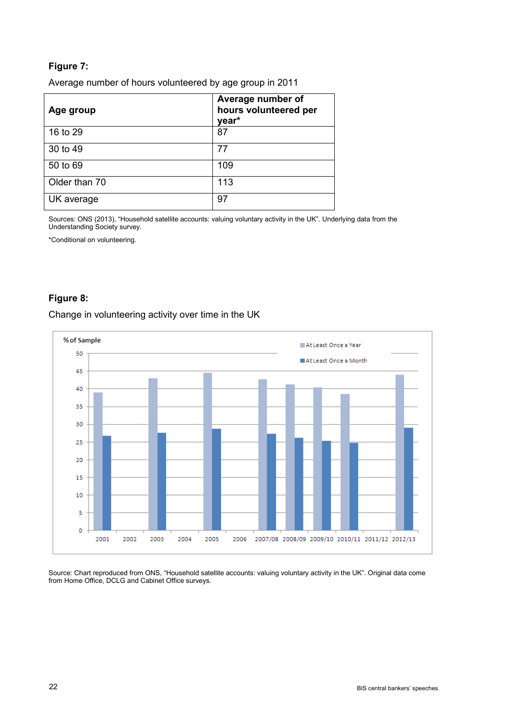# **Figure 7:**

Average number of hours volunteered by age group in 2011

| Age group     | Average number of<br>hours volunteered per<br>year* |
|---------------|-----------------------------------------------------|
| 16 to 29      | 87                                                  |
| 30 to 49      | 77                                                  |
| 50 to 69      | 109                                                 |
| Older than 70 | 113                                                 |
| UK average    | 97                                                  |

Sources: ONS (2013), "Household satellite accounts: valuing voluntary activity in the UK". Underlying data from the Understanding Society survey.

\*Conditional on volunteering.

# **Figure 8:**

### Change in volunteering activity over time in the UK



Source: Chart reproduced from ONS, "Household satellite accounts: valuing voluntary activity in the UK". Original data come from Home Office, DCLG and Cabinet Office surveys.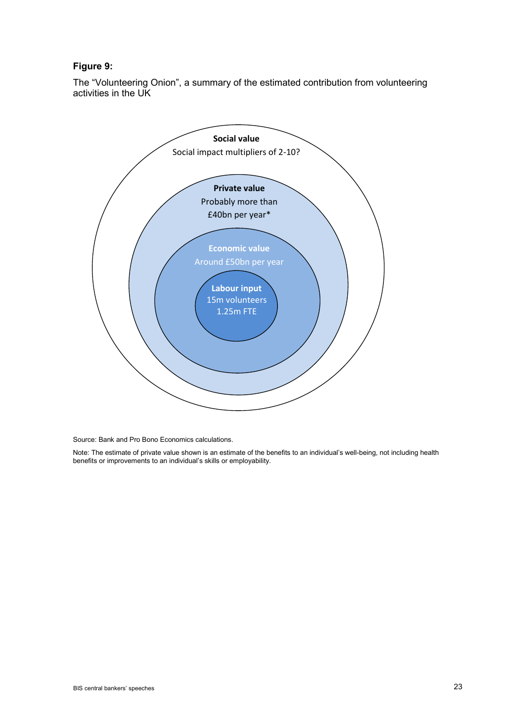### **Figure 9:**

The "Volunteering Onion", a summary of the estimated contribution from volunteering activities in the UK



Source: Bank and Pro Bono Economics calculations.

Note: The estimate of private value shown is an estimate of the benefits to an individual's well-being, not including health benefits or improvements to an individual's skills or employability.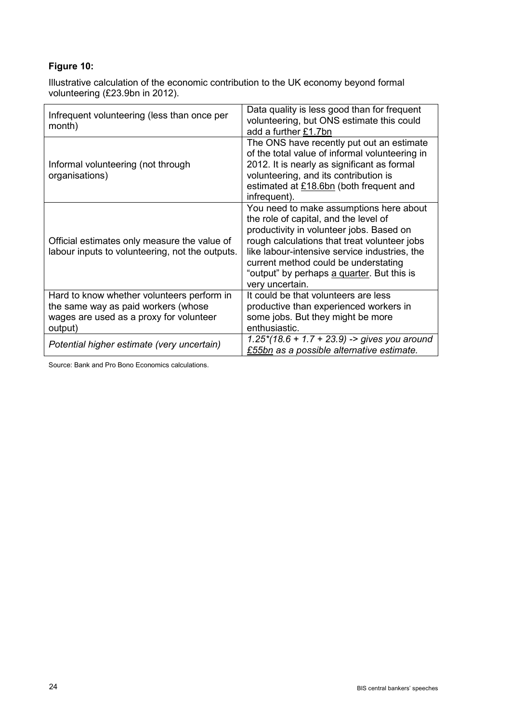# **Figure 10:**

Illustrative calculation of the economic contribution to the UK economy beyond formal volunteering (£23.9bn in 2012).

| Infrequent volunteering (less than once per<br>month)                                                                                   | Data quality is less good than for frequent<br>volunteering, but ONS estimate this could<br>add a further £1.7bn                                                                                                                                                                                                                       |
|-----------------------------------------------------------------------------------------------------------------------------------------|----------------------------------------------------------------------------------------------------------------------------------------------------------------------------------------------------------------------------------------------------------------------------------------------------------------------------------------|
| Informal volunteering (not through<br>organisations)                                                                                    | The ONS have recently put out an estimate<br>of the total value of informal volunteering in<br>2012. It is nearly as significant as formal<br>volunteering, and its contribution is<br>estimated at £18.6bn (both frequent and<br>infrequent).                                                                                         |
| Official estimates only measure the value of<br>labour inputs to volunteering, not the outputs.                                         | You need to make assumptions here about<br>the role of capital, and the level of<br>productivity in volunteer jobs. Based on<br>rough calculations that treat volunteer jobs<br>like labour-intensive service industries, the<br>current method could be understating<br>"output" by perhaps a quarter. But this is<br>very uncertain. |
| Hard to know whether volunteers perform in<br>the same way as paid workers (whose<br>wages are used as a proxy for volunteer<br>output) | It could be that volunteers are less<br>productive than experienced workers in<br>some jobs. But they might be more<br>enthusiastic.                                                                                                                                                                                                   |
| Potential higher estimate (very uncertain)                                                                                              | $1.25*(18.6 + 1.7 + 23.9)$ -> gives you around<br>£55bn as a possible alternative estimate.                                                                                                                                                                                                                                            |

Source: Bank and Pro Bono Economics calculations.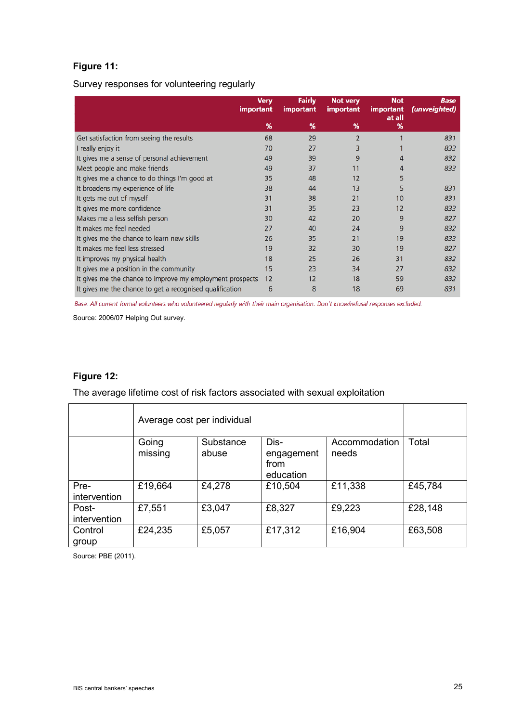# **Figure 11:**

Survey responses for volunteering regularly

|                                                           | <b>Verv</b><br><b>important</b> | <b>Fairly</b><br><b>important</b> | <b>Not very</b><br><i>important</i> | <b>Not</b><br><b>important</b><br>at all | <b>Base</b><br>(unweighted) |
|-----------------------------------------------------------|---------------------------------|-----------------------------------|-------------------------------------|------------------------------------------|-----------------------------|
|                                                           | %                               | %                                 | %                                   | %                                        |                             |
| Get satisfaction from seeing the results                  | 68                              | 29                                | $\overline{2}$                      |                                          | 831                         |
| I really enjoy it                                         | 70                              | 27                                | 3                                   |                                          | 833                         |
| It gives me a sense of personal achievement               | 49                              | 39                                | 9                                   | 4                                        | 832                         |
| Meet people and make friends                              | 49                              | 37                                | 11                                  | 4                                        | 833                         |
| It gives me a chance to do things I'm good at             | 35                              | 48                                | 12                                  | 5                                        |                             |
| It broadens my experience of life                         | 38                              | 44                                | 13                                  | 5                                        | 831                         |
| It gets me out of myself                                  | 31                              | 38                                | 21                                  | 10                                       | 831                         |
| It gives me more confidence                               | 31                              | 35                                | 23                                  | 12                                       | 833                         |
| Makes me a less selfish person                            | 30                              | 42                                | 20                                  | 9                                        | 827                         |
| It makes me feel needed                                   | 27                              | 40                                | 24                                  | 9                                        | 832                         |
| It gives me the chance to learn new skills                | 26                              | 35                                | 21                                  | 19                                       | 833                         |
| It makes me feel less stressed                            | 19                              | 32                                | 30                                  | 19                                       | 827                         |
| It improves my physical health                            | 18                              | 25                                | 26                                  | 31                                       | 832                         |
| It gives me a position in the community                   | 15                              | 23                                | 34                                  | 27                                       | 832                         |
| It gives me the chance to improve my employment prospects | 12                              | 12                                | 18                                  | 59                                       | 832                         |
| It gives me the chance to get a recognised qualification  | 6                               | 8                                 | 18                                  | 69                                       | 831                         |

Base: All current formal volunteers who volunteered regularly with their main organisation. Don't know/refusal responses excluded.

Source: 2006/07 Helping Out survey.

### **Figure 12:**

The average lifetime cost of risk factors associated with sexual exploitation

|                       | Average cost per individual |                    |                                         |                        |         |
|-----------------------|-----------------------------|--------------------|-----------------------------------------|------------------------|---------|
|                       | Going<br>missing            | Substance<br>abuse | Dis-<br>engagement<br>from<br>education | Accommodation<br>needs | Total   |
| Pre-<br>intervention  | £19,664                     | £4,278             | £10,504                                 | £11,338                | £45,784 |
| Post-<br>intervention | £7,551                      | £3,047             | £8,327                                  | £9,223                 | £28,148 |
| Control<br>group      | £24,235                     | £5,057             | £17,312                                 | £16,904                | £63,508 |

Source: PBE (2011).